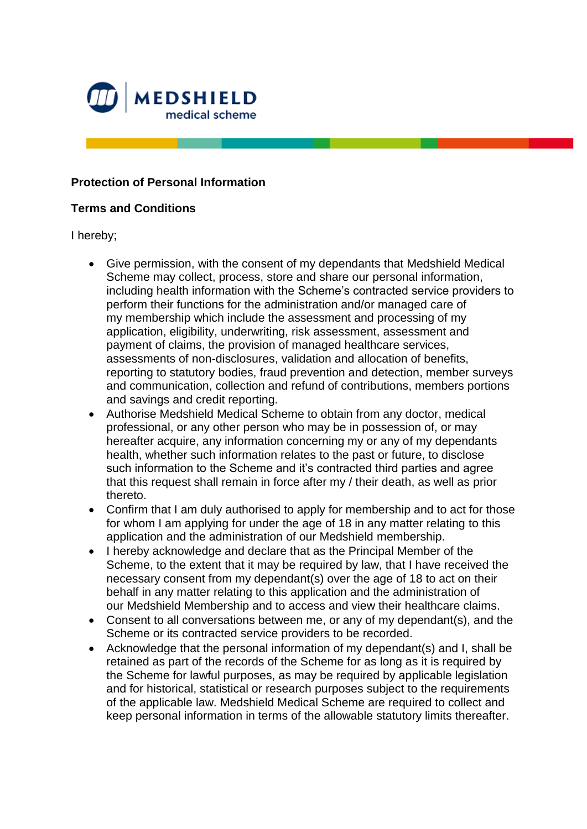

## **Protection of Personal Information**

## **Terms and Conditions**

I hereby;

- Give permission, with the consent of my dependants that Medshield Medical Scheme may collect, process, store and share our personal information, including health information with the Scheme's contracted service providers to perform their functions for the administration and/or managed care of my membership which include the assessment and processing of my application, eligibility, underwriting, risk assessment, assessment and payment of claims, the provision of managed healthcare services, assessments of non-disclosures, validation and allocation of benefits, reporting to statutory bodies, fraud prevention and detection, member surveys and communication, collection and refund of contributions, members portions and savings and credit reporting.
- Authorise Medshield Medical Scheme to obtain from any doctor, medical professional, or any other person who may be in possession of, or may hereafter acquire, any information concerning my or any of my dependants health, whether such information relates to the past or future, to disclose such information to the Scheme and it's contracted third parties and agree that this request shall remain in force after my / their death, as well as prior thereto.
- Confirm that I am duly authorised to apply for membership and to act for those for whom I am applying for under the age of 18 in any matter relating to this application and the administration of our Medshield membership.
- I hereby acknowledge and declare that as the Principal Member of the Scheme, to the extent that it may be required by law, that I have received the necessary consent from my dependant(s) over the age of 18 to act on their behalf in any matter relating to this application and the administration of our Medshield Membership and to access and view their healthcare claims.
- Consent to all conversations between me, or any of my dependant(s), and the Scheme or its contracted service providers to be recorded.
- Acknowledge that the personal information of my dependant(s) and I, shall be retained as part of the records of the Scheme for as long as it is required by the Scheme for lawful purposes, as may be required by applicable legislation and for historical, statistical or research purposes subject to the requirements of the applicable law. Medshield Medical Scheme are required to collect and keep personal information in terms of the allowable statutory limits thereafter.